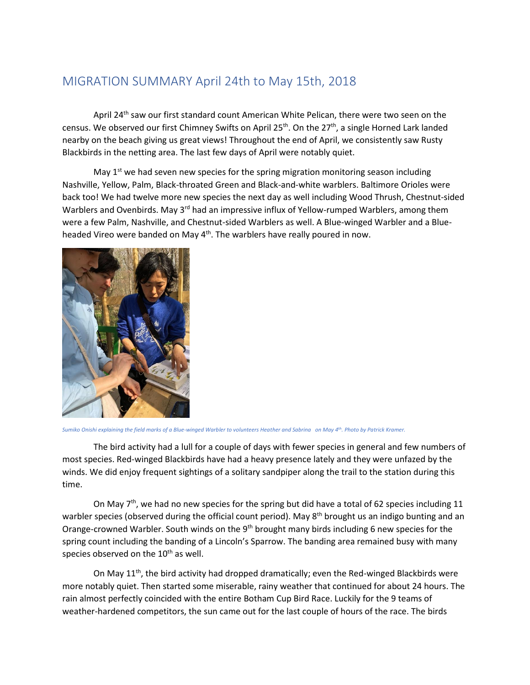## MIGRATION SUMMARY April 24th to May 15th, 2018

April 24<sup>th</sup> saw our first standard count American White Pelican, there were two seen on the census. We observed our first Chimney Swifts on April 25<sup>th</sup>. On the 27<sup>th</sup>, a single Horned Lark landed nearby on the beach giving us great views! Throughout the end of April, we consistently saw Rusty Blackbirds in the netting area. The last few days of April were notably quiet.

May  $1<sup>st</sup>$  we had seven new species for the spring migration monitoring season including Nashville, Yellow, Palm, Black-throated Green and Black-and-white warblers. Baltimore Orioles were back too! We had twelve more new species the next day as well including Wood Thrush, Chestnut-sided Warblers and Ovenbirds. May 3<sup>rd</sup> had an impressive influx of Yellow-rumped Warblers, among them were a few Palm, Nashville, and Chestnut-sided Warblers as well. A Blue-winged Warbler and a Blueheaded Vireo were banded on May 4<sup>th</sup>. The warblers have really poured in now.



*Sumiko Onishi explaining the field marks of a Blue-winged Warbler to volunteers Heather and Sabrina on May 4th. Photo by Patrick Kramer.*

The bird activity had a lull for a couple of days with fewer species in general and few numbers of most species. Red-winged Blackbirds have had a heavy presence lately and they were unfazed by the winds. We did enjoy frequent sightings of a solitary sandpiper along the trail to the station during this time.

On May  $7<sup>th</sup>$ , we had no new species for the spring but did have a total of 62 species including 11 warbler species (observed during the official count period). May  $8<sup>th</sup>$  brought us an indigo bunting and an Orange-crowned Warbler. South winds on the 9<sup>th</sup> brought many birds including 6 new species for the spring count including the banding of a Lincoln's Sparrow. The banding area remained busy with many species observed on the  $10<sup>th</sup>$  as well.

On May 11<sup>th</sup>, the bird activity had dropped dramatically; even the Red-winged Blackbirds were more notably quiet. Then started some miserable, rainy weather that continued for about 24 hours. The rain almost perfectly coincided with the entire Botham Cup Bird Race. Luckily for the 9 teams of weather-hardened competitors, the sun came out for the last couple of hours of the race. The birds